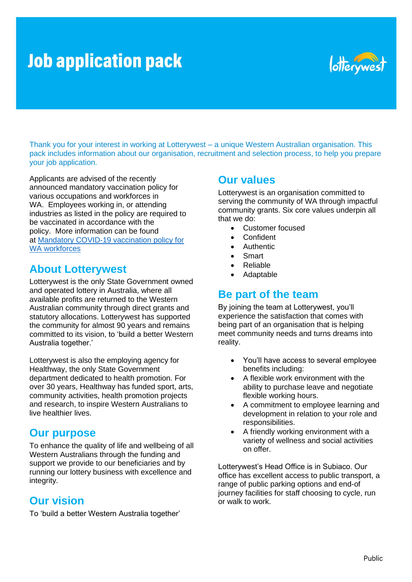# **Job application pack**



Thank you for your interest in working at Lotterywest – a unique Western Australian organisation. This pack includes information about our organisation, recruitment and selection process, to help you prepare your job application.

Applicants are advised of the recently announced mandatory vaccination policy for various occupations and workforces in WA. Employees working in, or attending industries as listed in the policy are required to be vaccinated in accordance with the policy. More information can be found at [Mandatory COVID-19 vaccination policy for](https://aus01.safelinks.protection.outlook.com/?url=https%3A%2F%2Fwww.wa.gov.au%2Fgovernment%2Fannouncements%2Fmandatory-covid-19-vaccination-policy-wa-workforces&data=04%7C01%7CLuke.Chapple%40education.wa.edu.au%7C1e9d6c0cd68a4dfbeb4308d99f3ee3e2%7Ce08016f9d1fd4cbb83b0b76eb4361627%7C0%7C0%7C637715914720899772%7CUnknown%7CTWFpbGZsb3d8eyJWIjoiMC4wLjAwMDAiLCJQIjoiV2luMzIiLCJBTiI6Ik1haWwiLCJXVCI6Mn0%3D%7C1000&sdata=yfRdtEPAynHAdheB3Jb76MGTSgdCnRSWKDJtx0PGZ4c%3D&reserved=0)  [WA workforces](https://aus01.safelinks.protection.outlook.com/?url=https%3A%2F%2Fwww.wa.gov.au%2Fgovernment%2Fannouncements%2Fmandatory-covid-19-vaccination-policy-wa-workforces&data=04%7C01%7CLuke.Chapple%40education.wa.edu.au%7C1e9d6c0cd68a4dfbeb4308d99f3ee3e2%7Ce08016f9d1fd4cbb83b0b76eb4361627%7C0%7C0%7C637715914720899772%7CUnknown%7CTWFpbGZsb3d8eyJWIjoiMC4wLjAwMDAiLCJQIjoiV2luMzIiLCJBTiI6Ik1haWwiLCJXVCI6Mn0%3D%7C1000&sdata=yfRdtEPAynHAdheB3Jb76MGTSgdCnRSWKDJtx0PGZ4c%3D&reserved=0)

## **About Lotterywest**

Lotterywest is the only State Government owned and operated lottery in Australia, where all available profits are returned to the Western Australian community through direct grants and statutory allocations. Lotterywest has supported the community for almost 90 years and remains committed to its vision, to 'build a better Western Australia together.'

Lotterywest is also the employing agency for Healthway, the only State Government department dedicated to health promotion. For over 30 years, Healthway has funded sport, arts, community activities, health promotion projects and research, to inspire Western Australians to live healthier lives.

### **Our purpose**

To enhance the quality of life and wellbeing of all Western Australians through the funding and support we provide to our beneficiaries and by running our lottery business with excellence and integrity.

## **Our vision**

To 'build a better Western Australia together'

### **Our values**

Lotterywest is an organisation committed to serving the community of WA through impactful community grants. Six core values underpin all that we do:

- Customer focused
- Confident
- **Authentic**
- Smart
- Reliable
- Adaptable

## **Be part of the team**

By joining the team at Lotterywest, you'll experience the satisfaction that comes with being part of an organisation that is helping meet community needs and turns dreams into reality.

- You'll have access to several employee benefits including:
- A flexible work environment with the ability to purchase leave and negotiate flexible working hours.
- A commitment to employee learning and development in relation to your role and responsibilities.
- A friendly working environment with a variety of wellness and social activities on offer.

Lotterywest's Head Office is in Subiaco. Our office has excellent access to public transport, a range of public parking options and end-of journey facilities for staff choosing to cycle, run or walk to work.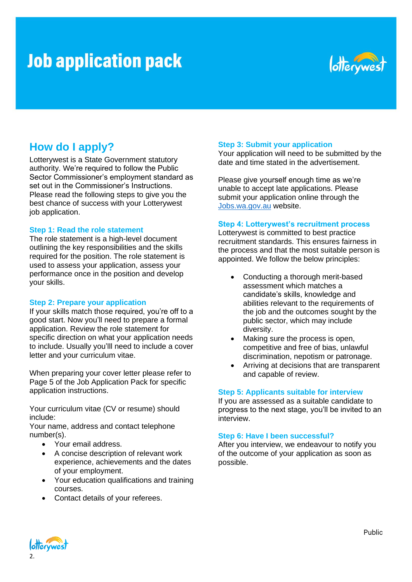# **Job application pack**



## **How do I apply?**

Lotterywest is a State Government statutory authority. We're required to follow the Public Sector Commissioner's employment standard as set out in the Commissioner's Instructions. Please read the following steps to give you the best chance of success with your Lotterywest job application.

#### **Step 1: Read the role statement**

The role statement is a high-level document outlining the key responsibilities and the skills required for the position. The role statement is used to assess your application, assess your performance once in the position and develop your skills.

#### **Step 2: Prepare your application**

If your skills match those required, you're off to a good start. Now you'll need to prepare a formal application. Review the role statement for specific direction on what your application needs to include. Usually you'lll need to include a cover letter and your curriculum vitae.

When preparing your cover letter please refer to Page 5 of the Job Application Pack for specific application instructions.

Your curriculum vitae (CV or resume) should include:

Your name, address and contact telephone number(s).

- Your email address.
- A concise description of relevant work experience, achievements and the dates of your employment.
- Your education qualifications and training courses.
- Contact details of your referees.

#### **Step 3: Submit your application**

Your application will need to be submitted by the date and time stated in the advertisement.

Please give yourself enough time as we're unable to accept late applications. Please submit your application online through the [Jobs.wa.gov.au](https://jobs.wa.gov.au/) website.

#### **Step 4: Lotterywest's recruitment process**

Lotterywest is committed to best practice recruitment standards. This ensures fairness in the process and that the most suitable person is appointed. We follow the below principles:

- Conducting a thorough merit-based assessment which matches a candidate's skills, knowledge and abilities relevant to the requirements of the job and the outcomes sought by the public sector, which may include diversity.
- Making sure the process is open, competitive and free of bias, unlawful discrimination, nepotism or patronage.
- Arriving at decisions that are transparent and capable of review.

#### **Step 5: Applicants suitable for interview**

If you are assessed as a suitable candidate to progress to the next stage, you'll be invited to an interview.

#### **Step 6: Have I been successful?**

After you interview, we endeavour to notify you of the outcome of your application as soon as possible.